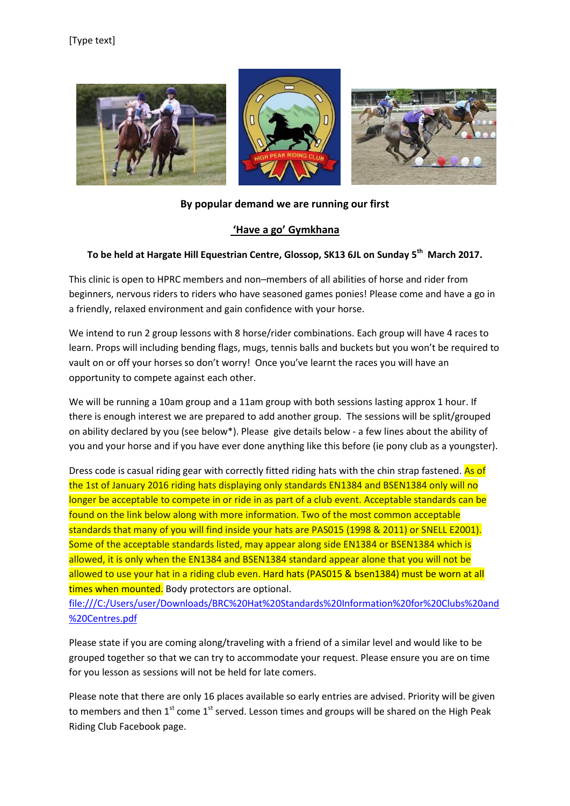

## **By popular demand we are running our first**

## **'Have a go' Gymkhana**

## **To be held at Hargate Hill Equestrian Centre, Glossop, SK13 6JL on Sunday 5th March 2017.**

This clinic is open to HPRC members and non–members of all abilities of horse and rider from beginners, nervous riders to riders who have seasoned games ponies! Please come and have a go in a friendly, relaxed environment and gain confidence with your horse.

We intend to run 2 group lessons with 8 horse/rider combinations. Each group will have 4 races to learn. Props will including bending flags, mugs, tennis balls and buckets but you won't be required to vault on or off your horses so don't worry! Once you've learnt the races you will have an opportunity to compete against each other.

We will be running a 10am group and a 11am group with both sessions lasting approx 1 hour. If there is enough interest we are prepared to add another group. The sessions will be split/grouped on ability declared by you (see below\*). Please give details below - a few lines about the ability of you and your horse and if you have ever done anything like this before (ie pony club as a youngster).

Dress code is casual riding gear with correctly fitted riding hats with the chin strap fastened. As of the 1st of January 2016 riding hats displaying only standards EN1384 and BSEN1384 only will no longer be acceptable to compete in or ride in as part of a club event. Acceptable standards can be found on the link below along with more information. Two of the most common acceptable standards that many of you will find inside your hats are PAS015 (1998 & 2011) or SNELL E2001). Some of the acceptable standards listed, may appear along side EN1384 or BSEN1384 which is allowed, it is only when the EN1384 and BSEN1384 standard appear alone that you will not be allowed to use your hat in a riding club even. Hard hats (PAS015 & bsen1384) must be worn at all times when mounted. Body protectors are optional.

[file:///C:/Users/user/Downloads/BRC%20Hat%20Standards%20Information%20for%20Clubs%20and](file:///C:/Users/user/Downloads/BRC%20Hat%20Standards%20Information%20for%20Clubs%20and%20Centres.pdf) [%20Centres.pdf](file:///C:/Users/user/Downloads/BRC%20Hat%20Standards%20Information%20for%20Clubs%20and%20Centres.pdf)

Please state if you are coming along/traveling with a friend of a similar level and would like to be grouped together so that we can try to accommodate your request. Please ensure you are on time for you lesson as sessions will not be held for late comers.

Please note that there are only 16 places available so early entries are advised. Priority will be given to members and then 1<sup>st</sup> come 1<sup>st</sup> served. Lesson times and groups will be shared on the High Peak Riding Club Facebook page.